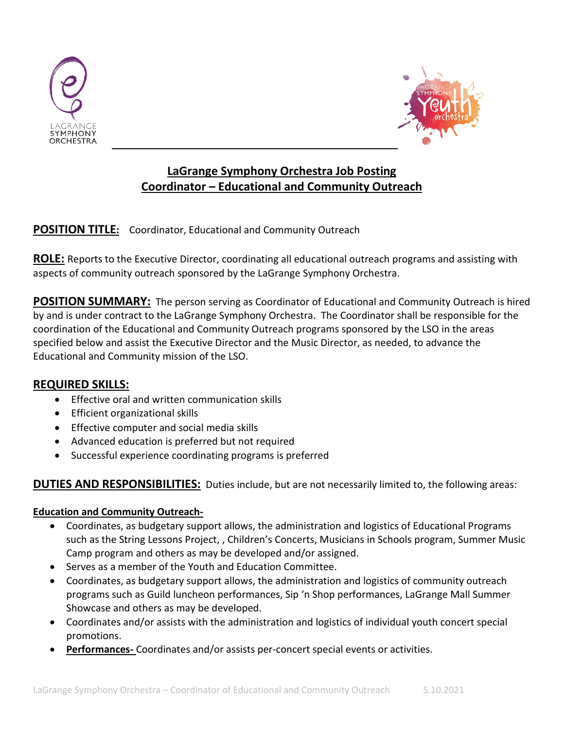



# **LaGrange Symphony Orchestra Job Posting Coordinator – Educational and Community Outreach**

# **POSITION TITLE:** Coordinator, Educational and Community Outreach

**ROLE:** Reports to the Executive Director, coordinating all educational outreach programs and assisting with aspects of community outreach sponsored by the LaGrange Symphony Orchestra.

**POSITION SUMMARY:** The person serving as Coordinator of Educational and Community Outreach is hired by and is under contract to the LaGrange Symphony Orchestra. The Coordinator shall be responsible for the coordination of the Educational and Community Outreach programs sponsored by the LSO in the areas specified below and assist the Executive Director and the Music Director, as needed, to advance the Educational and Community mission of the LSO.

### **REQUIRED SKILLS:**

- Effective oral and written communication skills
- Efficient organizational skills
- Effective computer and social media skills
- Advanced education is preferred but not required
- Successful experience coordinating programs is preferred

# **DUTIES AND RESPONSIBILITIES:** Duties include, but are not necessarily limited to, the following areas:

#### **Education and Community Outreach-**

- Coordinates, as budgetary support allows, the administration and logistics of Educational Programs such as the String Lessons Project, , Children's Concerts, Musicians in Schools program, Summer Music Camp program and others as may be developed and/or assigned.
- Serves as a member of the Youth and Education Committee.
- Coordinates, as budgetary support allows, the administration and logistics of community outreach programs such as Guild luncheon performances, Sip 'n Shop performances, LaGrange Mall Summer Showcase and others as may be developed.
- Coordinates and/or assists with the administration and logistics of individual youth concert special promotions.
- **Performances-** Coordinates and/or assists per-concert special events or activities.